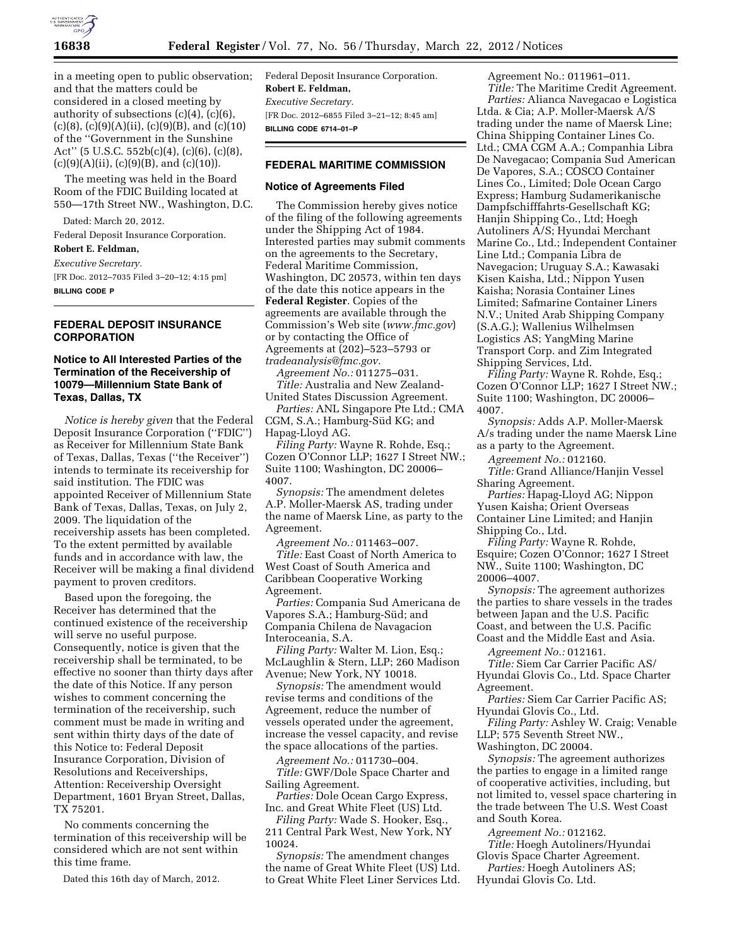

in a meeting open to public observation; and that the matters could be considered in a closed meeting by authority of subsections (c)(4), (c)(6),  $(c)(8)$ ,  $(c)(9)(A)(ii)$ ,  $(c)(9)(B)$ , and  $(c)(10)$ of the ''Government in the Sunshine Act'' (5 U.S.C. 552b(c)(4), (c)(6), (c)(8),  $(c)(9)(A)(ii)$ ,  $(c)(9)(B)$ , and  $(c)(10)$ .

The meeting was held in the Board Room of the FDIC Building located at 550—17th Street NW., Washington, D.C.

Dated: March 20, 2012.

Federal Deposit Insurance Corporation.

**Robert E. Feldman,** 

*Executive Secretary.* 

[FR Doc. 2012–7035 Filed 3–20–12; 4:15 pm] **BILLING CODE P** 

# **FEDERAL DEPOSIT INSURANCE CORPORATION**

# **Notice to All Interested Parties of the Termination of the Receivership of 10079—Millennium State Bank of Texas, Dallas, TX**

*Notice is hereby given* that the Federal Deposit Insurance Corporation (''FDIC'') as Receiver for Millennium State Bank of Texas, Dallas, Texas (''the Receiver'') intends to terminate its receivership for said institution. The FDIC was appointed Receiver of Millennium State Bank of Texas, Dallas, Texas, on July 2, 2009. The liquidation of the receivership assets has been completed. To the extent permitted by available funds and in accordance with law, the Receiver will be making a final dividend payment to proven creditors.

Based upon the foregoing, the Receiver has determined that the continued existence of the receivership will serve no useful purpose. Consequently, notice is given that the receivership shall be terminated, to be effective no sooner than thirty days after the date of this Notice. If any person wishes to comment concerning the termination of the receivership, such comment must be made in writing and sent within thirty days of the date of this Notice to: Federal Deposit Insurance Corporation, Division of Resolutions and Receiverships, Attention: Receivership Oversight Department, 1601 Bryan Street, Dallas, TX 75201.

No comments concerning the termination of this receivership will be considered which are not sent within this time frame.

Dated this 16th day of March, 2012.

Federal Deposit Insurance Corporation. **Robert E. Feldman,**  *Executive Secretary.*  [FR Doc. 2012–6855 Filed 3–21–12; 8:45 am] **BILLING CODE 6714–01–P** 

# **FEDERAL MARITIME COMMISSION**

## **Notice of Agreements Filed**

The Commission hereby gives notice of the filing of the following agreements under the Shipping Act of 1984. Interested parties may submit comments on the agreements to the Secretary, Federal Maritime Commission, Washington, DC 20573, within ten days of the date this notice appears in the **Federal Register**. Copies of the agreements are available through the Commission's Web site (*[www.fmc.gov](http://www.fmc.gov)*) or by contacting the Office of Agreements at (202)–523–5793 or *[tradeanalysis@fmc.gov.](mailto:tradeanalysis@fmc.gov)* 

*Agreement No.:* 011275–031. *Title:* Australia and New Zealand-United States Discussion Agreement.

*Parties:* ANL Singapore Pte Ltd.; CMA CGM, S.A.; Hamburg-Süd KG; and Hapag-Lloyd AG.

*Filing Party:* Wayne R. Rohde, Esq.; Cozen O'Connor LLP; 1627 I Street NW.; Suite 1100; Washington, DC 20006– 4007.

*Synopsis:* The amendment deletes A.P. Moller-Maersk AS, trading under the name of Maersk Line, as party to the Agreement.

*Agreement No.:* 011463–007. *Title:* East Coast of North America to West Coast of South America and Caribbean Cooperative Working Agreement.

*Parties:* Compania Sud Americana de Vapores S.A.; Hamburg-Süd; and Compania Chilena de Navagacion Interoceania, S.A.

*Filing Party:* Walter M. Lion, Esq.; McLaughlin & Stern, LLP; 260 Madison Avenue; New York, NY 10018.

*Synopsis:* The amendment would revise terms and conditions of the Agreement, reduce the number of vessels operated under the agreement, increase the vessel capacity, and revise the space allocations of the parties.

*Agreement No.:* 011730–004. *Title:* GWF/Dole Space Charter and Sailing Agreement.

*Parties:* Dole Ocean Cargo Express, Inc. and Great White Fleet (US) Ltd.

*Filing Party:* Wade S. Hooker, Esq., 211 Central Park West, New York, NY 10024.

*Synopsis:* The amendment changes the name of Great White Fleet (US) Ltd. to Great White Fleet Liner Services Ltd. Agreement No.: 011961–011. *Title:* The Maritime Credit Agreement.

*Parties:* Alianca Navegacao e Logistica Ltda. & Cia; A.P. Moller-Maersk A/S trading under the name of Maersk Line; China Shipping Container Lines Co. Ltd.; CMA CGM A.A.; Companhia Libra De Navegacao; Compania Sud American De Vapores, S.A.; COSCO Container Lines Co., Limited; Dole Ocean Cargo Express; Hamburg Sudamerikanische Dampfschifffahrts-Gesellschaft KG; Hanjin Shipping Co., Ltd; Hoegh Autoliners A/S; Hyundai Merchant Marine Co., Ltd.; Independent Container Line Ltd.; Compania Libra de Navegacion; Uruguay S.A.; Kawasaki Kisen Kaisha, Ltd.; Nippon Yusen Kaisha; Norasia Container Lines Limited; Safmarine Container Liners N.V.; United Arab Shipping Company (S.A.G.); Wallenius Wilhelmsen Logistics AS; YangMing Marine Transport Corp. and Zim Integrated Shipping Services, Ltd.

*Filing Party:* Wayne R. Rohde, Esq.; Cozen O'Connor LLP; 1627 I Street NW.; Suite 1100; Washington, DC 20006– 4007.

*Synopsis:* Adds A.P. Moller-Maersk A/s trading under the name Maersk Line as a party to the Agreement.

*Agreement No.:* 012160. *Title:* Grand Alliance/Hanjin Vessel

Sharing Agreement. *Parties:* Hapag-Lloyd AG; Nippon Yusen Kaisha; Orient Overseas Container Line Limited; and Hanjin Shipping Co., Ltd.

*Filing Party:* Wayne R. Rohde, Esquire; Cozen O'Connor; 1627 I Street NW., Suite 1100; Washington, DC 20006–4007.

*Synopsis:* The agreement authorizes the parties to share vessels in the trades between Japan and the U.S. Pacific Coast, and between the U.S. Pacific Coast and the Middle East and Asia.

*Agreement No.:* 012161.

*Title:* Siem Car Carrier Pacific AS/ Hyundai Glovis Co., Ltd. Space Charter Agreement.

*Parties:* Siem Car Carrier Pacific AS; Hyundai Glovis Co., Ltd.

*Filing Party:* Ashley W. Craig; Venable LLP; 575 Seventh Street NW.,

Washington, DC 20004.

*Synopsis:* The agreement authorizes the parties to engage in a limited range of cooperative activities, including, but not limited to, vessel space chartering in the trade between The U.S. West Coast and South Korea.

*Agreement No.:* 012162. *Title:* Hoegh Autoliners/Hyundai Glovis Space Charter Agreement.

*Parties:* Hoegh Autoliners AS; Hyundai Glovis Co. Ltd.